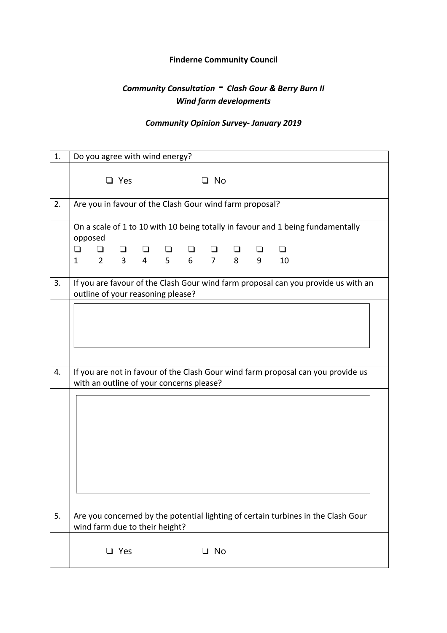## **Finderne Community Council**

## *Community Consultation ‐ Clash Gour & Berry Burn II Wind farm developments*

## *Community Opinion Survey‐ January 2019*

| 1. | Do you agree with wind energy?                                                                                               |
|----|------------------------------------------------------------------------------------------------------------------------------|
|    | $\Box$ Yes<br>$\Box$ No                                                                                                      |
| 2. | Are you in favour of the Clash Gour wind farm proposal?                                                                      |
|    | On a scale of 1 to 10 with 10 being totally in favour and 1 being fundamentally<br>opposed                                   |
|    | $\Box$<br>⊔<br>$2 \quad 3$<br>9<br>$\mathbf{1}$<br>10                                                                        |
| 3. | If you are favour of the Clash Gour wind farm proposal can you provide us with an<br>outline of your reasoning please?       |
|    |                                                                                                                              |
| 4. | If you are not in favour of the Clash Gour wind farm proposal can you provide us<br>with an outline of your concerns please? |
|    |                                                                                                                              |
| 5. | Are you concerned by the potential lighting of certain turbines in the Clash Gour<br>wind farm due to their height?          |
|    | Yes<br>□ No<br>┚                                                                                                             |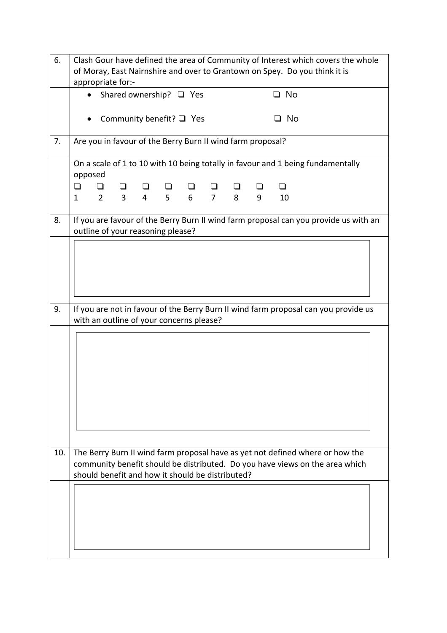| 6.  | Clash Gour have defined the area of Community of Interest which covers the whole<br>of Moray, East Nairnshire and over to Grantown on Spey. Do you think it is<br>appropriate for:-                               |
|-----|-------------------------------------------------------------------------------------------------------------------------------------------------------------------------------------------------------------------|
|     | $\Box$ No<br>Shared ownership? □ Yes                                                                                                                                                                              |
|     | Community benefit? $\Box$ Yes<br>□ No                                                                                                                                                                             |
| 7.  | Are you in favour of the Berry Burn II wind farm proposal?                                                                                                                                                        |
|     | On a scale of 1 to 10 with 10 being totally in favour and 1 being fundamentally<br>opposed                                                                                                                        |
|     | ❏<br>$\overline{3}$<br>6 <sup>1</sup><br>$\overline{2}$<br>$\overline{4}$<br>5 <sup>1</sup><br>$\overline{7}$<br>8<br>$\mathbf{1}$<br>9<br>10                                                                     |
| 8.  | If you are favour of the Berry Burn II wind farm proposal can you provide us with an<br>outline of your reasoning please?                                                                                         |
|     |                                                                                                                                                                                                                   |
| 9.  | If you are not in favour of the Berry Burn II wind farm proposal can you provide us<br>with an outline of your concerns please?                                                                                   |
|     |                                                                                                                                                                                                                   |
| 10. | The Berry Burn II wind farm proposal have as yet not defined where or how the<br>community benefit should be distributed. Do you have views on the area which<br>should benefit and how it should be distributed? |
|     |                                                                                                                                                                                                                   |